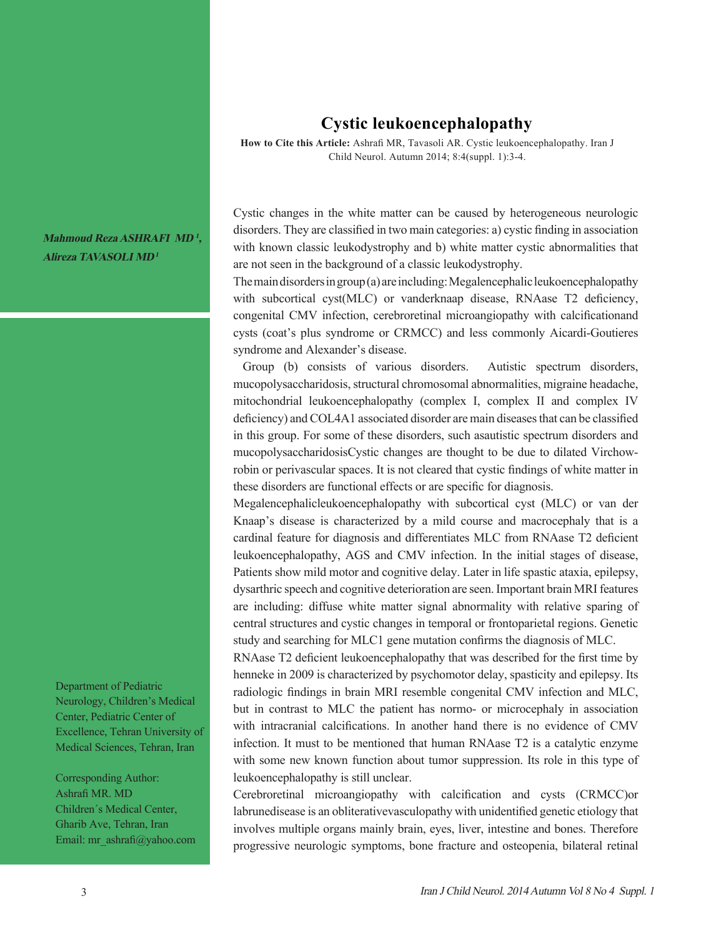## **Cystic leukoencephalopathy**

**How to Cite this Article:** Ashrafi MR, Tavasoli AR. Cystic leukoencephalopathy. Iran J Child Neurol. Autumn 2014; 8:4(suppl. 1):3-4.

Cystic changes in the white matter can be caused by heterogeneous neurologic disorders. They are classified in two main categories: a) cystic finding in association with known classic leukodystrophy and b) white matter cystic abnormalities that are not seen in the background of a classic leukodystrophy.

The main disorders in group (a) are including: Megalencephalic leukoencephalopathy with subcortical cyst(MLC) or vanderknaap disease, RNAase T2 deficiency, congenital CMV infection, cerebroretinal microangiopathy with calcificationand cysts (coat's plus syndrome or CRMCC) and less commonly Aicardi-Goutieres syndrome and Alexander's disease.

 Group (b) consists of various disorders. Autistic spectrum disorders, mucopolysaccharidosis, structural chromosomal abnormalities, migraine headache, mitochondrial leukoencephalopathy (complex I, complex II and complex IV deficiency) and COL4A1 associated disorder are main diseases that can be classified in this group. For some of these disorders, such asautistic spectrum disorders and mucopolysaccharidosisCystic changes are thought to be due to dilated Virchowrobin or perivascular spaces. It is not cleared that cystic findings of white matter in these disorders are functional effects or are specific for diagnosis.

Megalencephalicleukoencephalopathy with subcortical cyst (MLC) or van der Knaap's disease is characterized by a mild course and macrocephaly that is a cardinal feature for diagnosis and differentiates MLC from RNAase T2 deficient leukoencephalopathy, AGS and CMV infection. In the initial stages of disease, Patients show mild motor and cognitive delay. Later in life spastic ataxia, epilepsy, dysarthric speech and cognitive deterioration are seen. Important brain MRI features are including: diffuse white matter signal abnormality with relative sparing of central structures and cystic changes in temporal or frontoparietal regions. Genetic study and searching for MLC1 gene mutation confirms the diagnosis of MLC.

RNAase T2 deficient leukoencephalopathy that was described for the first time by henneke in 2009 is characterized by psychomotor delay, spasticity and epilepsy. Its radiologic findings in brain MRI resemble congenital CMV infection and MLC, but in contrast to MLC the patient has normo- or microcephaly in association with intracranial calcifications. In another hand there is no evidence of CMV infection. It must to be mentioned that human RNAase T2 is a catalytic enzyme with some new known function about tumor suppression. Its role in this type of leukoencephalopathy is still unclear.

Cerebroretinal microangiopathy with calcification and cysts (CRMCC)or labrunedisease is an obliterativevasculopathy with unidentified genetic etiology that involves multiple organs mainly brain, eyes, liver, intestine and bones. Therefore progressive neurologic symptoms, bone fracture and osteopenia, bilateral retinal

**Mahmoud Reza ASHRAFI MD <sup>1</sup>, Alireza TAVASOLI MD<sup>1</sup>**

Department of Pediatric Neurology, Children's Medical Center, Pediatric Center of Excellence, Tehran University of Medical Sciences, Tehran, Iran

Corresponding Author: Ashrafi MR. MD Children´s Medical Center, Gharib Ave, Tehran, Iran Email: mr\_ashrafi@yahoo.com